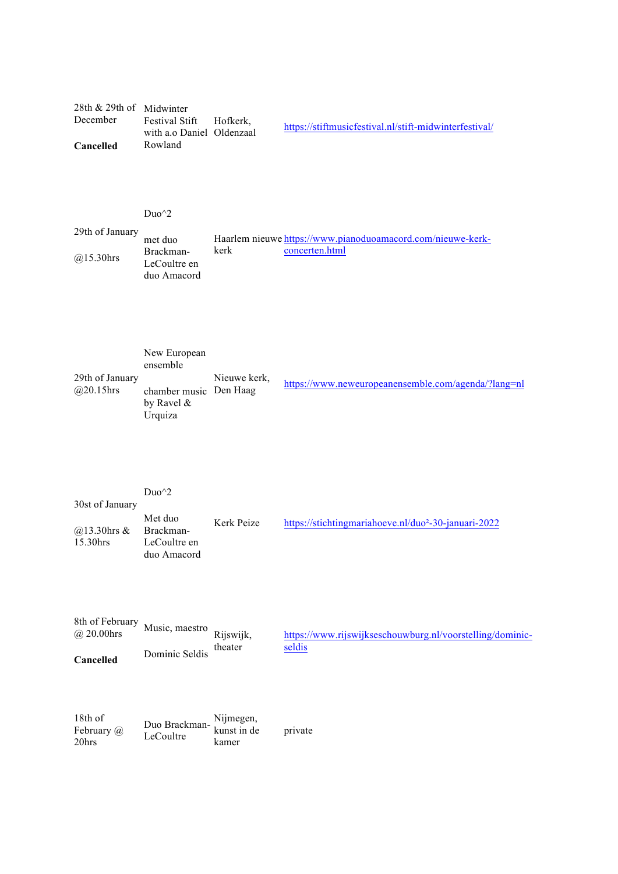## 28th & 29th of Midwinter December **Cancelled** Festival Stift with a.o Daniel Oldenzaal Rowland Hofkerk, https://stiftmusicfestival.nl/stift-midwinterfestival/

## Duo^2

| 29th of January |                                          |                                                             |  |  |
|-----------------|------------------------------------------|-------------------------------------------------------------|--|--|
|                 | met duo                                  | Haarlem nieuwe https://www.pianoduoamacord.com/nieuwe-kerk- |  |  |
| @15.30hrs       | Brackman-<br>LeCoultre en<br>duo Amacord | kerk<br>concerten.html                                      |  |  |

|                                 | New European<br>ensemble                           |              |                                                     |
|---------------------------------|----------------------------------------------------|--------------|-----------------------------------------------------|
| 29th of January<br>$@20.15$ hrs | chamber music Den Haag<br>by Ravel $\&$<br>Urquiza | Nieuwe kerk. | https://www.neweuropeanensemble.com/agenda/?lang=nl |

| 30st of January                 | Duo <sup><math>\gamma</math>2</sup>                 |            |                                                                  |
|---------------------------------|-----------------------------------------------------|------------|------------------------------------------------------------------|
| $\omega$ 13.30hrs &<br>15.30hrs | Met duo<br>Brackman-<br>LeCoultre en<br>duo Amacord | Kerk Peize | https://stichtingmariahoeve.nl/duo <sup>2</sup> -30-januari-2022 |

| 8th of February<br>$\omega$ 20.00 hrs | Music, maestro | Rijswijk, | https://www.rijswijkseschouwburg.nl/voorstelling/dominic- |
|---------------------------------------|----------------|-----------|-----------------------------------------------------------|
| Cancelled                             | Dominic Seldis | theater   | seldis                                                    |
|                                       |                |           |                                                           |

| 18th of        |                                        | Nijmegen, |         |
|----------------|----------------------------------------|-----------|---------|
| February $(a)$ | Duo Brackman- kunst in de<br>LeCoultre |           | private |
| 20hrs          |                                        | kamer     |         |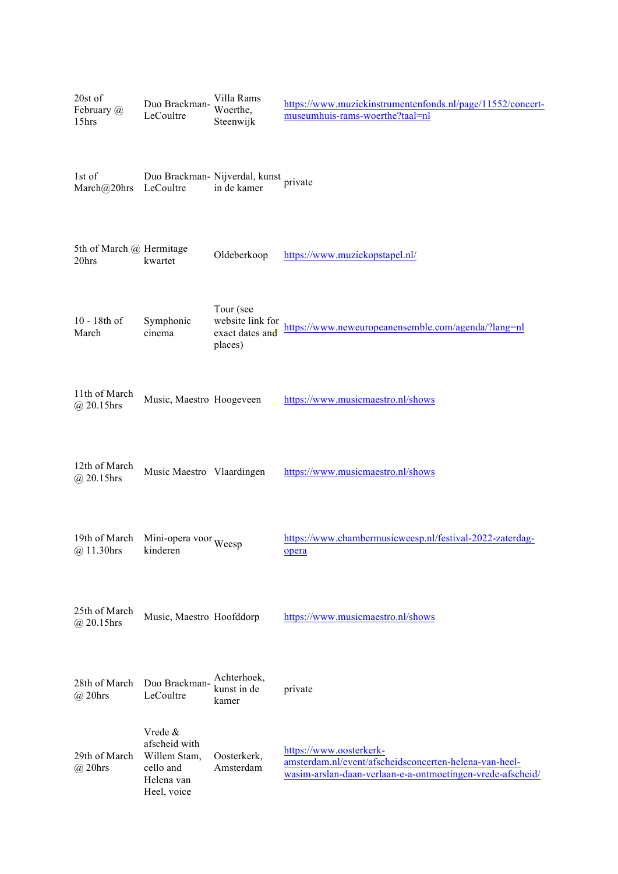| 20st of<br>February @<br>15hrs    | Duo Brackman-<br>LeCoultre                                                         | Villa Rams<br>Woerthe,<br>Steenwijk                         | https://www.muziekinstrumentenfonds.nl/page/11552/concert-<br>museumhuis-rams-woerthe?taal=nl                                                   |
|-----------------------------------|------------------------------------------------------------------------------------|-------------------------------------------------------------|-------------------------------------------------------------------------------------------------------------------------------------------------|
| 1st of<br>March@20hrs             | LeCoultre                                                                          | Duo Brackman- Nijverdal, kunst<br>in de kamer               | private                                                                                                                                         |
| 5th of March @ Hermitage<br>20hrs | kwartet                                                                            | Oldeberkoop                                                 | https://www.muziekopstapel.nl/                                                                                                                  |
| 10 - 18th of<br>March             | Symphonic<br>cinema                                                                | Tour (see<br>website link for<br>exact dates and<br>places) | https://www.neweuropeanensemble.com/agenda/?lang=nl                                                                                             |
| 11th of March<br>$@20.15$ hrs     | Music, Maestro Hoogeveen                                                           |                                                             | https://www.musicmaestro.nl/shows                                                                                                               |
| 12th of March<br>$@20.15$ hrs     | Music Maestro Vlaardingen                                                          |                                                             | https://www.musicmaestro.nl/shows                                                                                                               |
| 19th of March<br>@ 11.30hrs       | Mini-opera voor Weesp<br>kinderen                                                  |                                                             | https://www.chambermusicweesp.nl/festival-2022-zaterdag-<br>opera                                                                               |
| 25th of March<br>$(a)$ 20.15hrs   | Music, Maestro Hoofddorp                                                           |                                                             | https://www.musicmaestro.nl/shows                                                                                                               |
| 28th of March<br>$\omega$ 20hrs   | Duo Brackman-<br>LeCoultre                                                         | Achterhoek,<br>kunst in de<br>kamer                         | private                                                                                                                                         |
| 29th of March<br>$\omega$ 20hrs   | Vrede &<br>afscheid with<br>Willem Stam,<br>cello and<br>Helena van<br>Heel, voice | Oosterkerk,<br>Amsterdam                                    | https://www.oosterkerk-<br>amsterdam.nl/event/afscheidsconcerten-helena-van-heel-<br>wasim-arslan-daan-verlaan-e-a-ontmoetingen-vrede-afscheid/ |